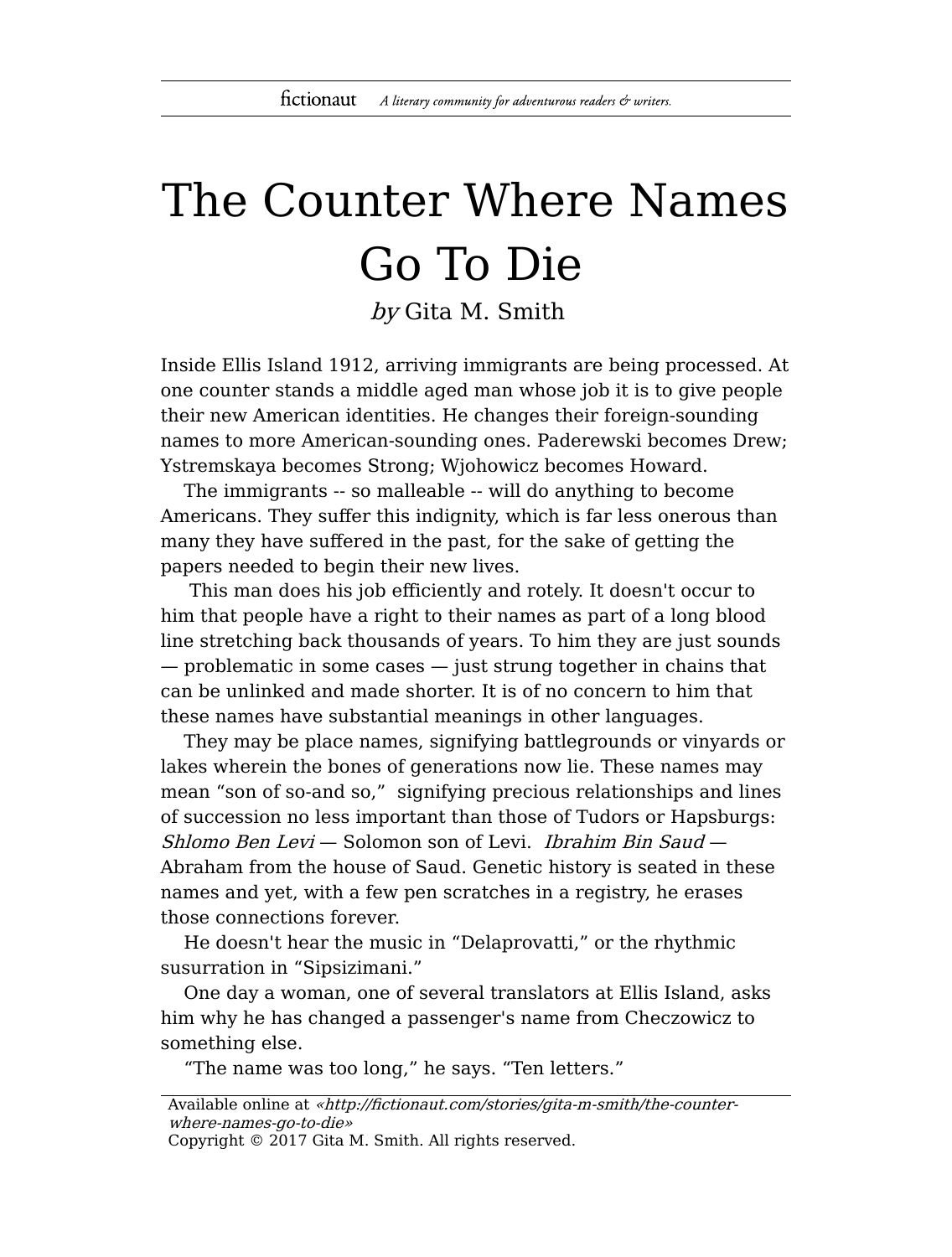## The Counter Where Names Go To Die

by Gita M. Smith

Inside Ellis Island 1912, arriving immigrants are being processed. At one counter stands a middle aged man whose job it is to give people their new American identities. He changes their foreign-sounding names to more American-sounding ones. Paderewski becomes Drew; Ystremskaya becomes Strong; Wjohowicz becomes Howard.

The immigrants -- so malleable -- will do anything to become Americans. They suffer this indignity, which is far less onerous than many they have suffered in the past, for the sake of getting the papers needed to begin their new lives.

This man does his job efficiently and rotely. It doesn't occur to him that people have a right to their names as part of a long blood line stretching back thousands of years. To him they are just sounds — problematic in some cases — just strung together in chains that can be unlinked and made shorter. It is of no concern to him that these names have substantial meanings in other languages.

They may be place names, signifying battlegrounds or vinyards or lakes wherein the bones of generations now lie. These names may mean "son of so-and so," signifying precious relationships and lines of succession no less important than those of Tudors or Hapsburgs:  $Shlomo$  Ben Levi — Solomon son of Levi. Ibrahim Bin Saud — Abraham from the house of Saud. Genetic history is seated in these names and yet, with a few pen scratches in a registry, he erases those connections forever.

He doesn't hear the music in "Delaprovatti," or the rhythmic susurration in "Sipsizimani."

One day a woman, one of several translators at Ellis Island, asks him why he has changed a passenger's name from Checzowicz to something else.

"The name was too long," he says. "Ten letters."